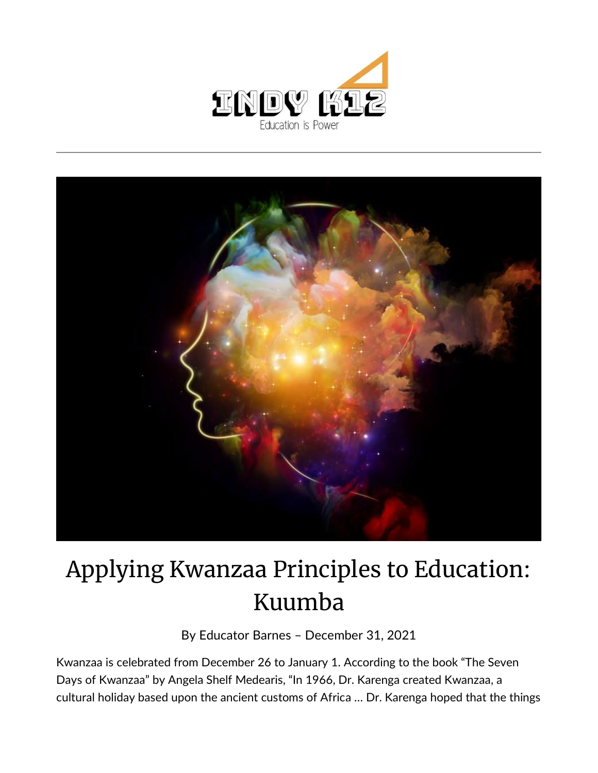



## Applying Kwanzaa Principles to Education: Kuumba

By [Educator Barnes](https://indy.education/author/shicole/) – December 31, 2021

Kwanzaa is celebrated from December 26 to January 1. According to the book "The Seven Days of Kwanzaa" by Angela Shelf Medearis, "In 1966, Dr. Karenga created Kwanzaa, a cultural holiday based upon the ancient customs of Africa … Dr. Karenga hoped that the things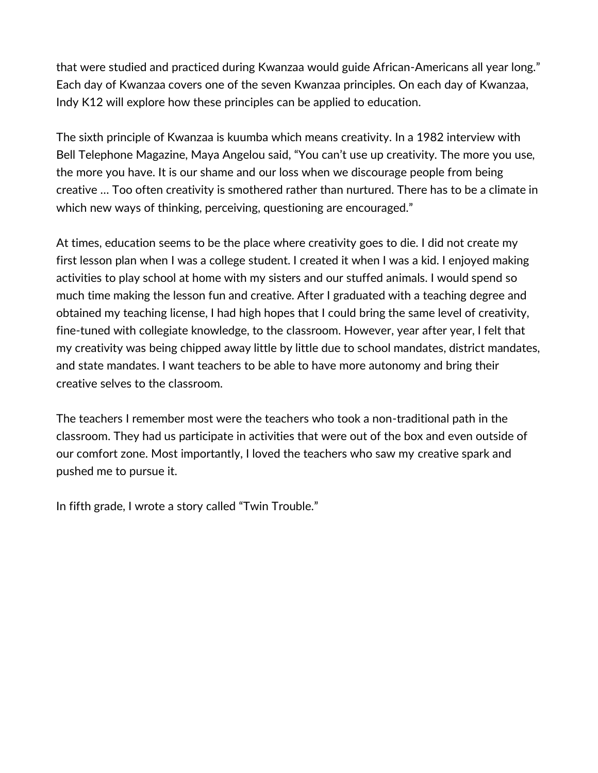that were studied and practiced during Kwanzaa would guide African-Americans all year long." Each day of Kwanzaa covers one of the seven Kwanzaa principles. On each day of Kwanzaa, Indy K12 will explore how these principles can be applied to education.

The sixth principle of Kwanzaa is kuumba which means creativity. In a 1982 interview with Bell Telephone Magazine, Maya Angelou said, "You can't use up creativity. The more you use, the more you have. It is our shame and our loss when we discourage people from being creative … Too often creativity is smothered rather than nurtured. There has to be a climate in which new ways of thinking, perceiving, questioning are encouraged."

At times, education seems to be the place where creativity goes to die. I did not create my first lesson plan when I was a college student. I created it when I was a kid. I enjoyed making activities to play school at home with my sisters and our stuffed animals. I would spend so much time making the lesson fun and creative. After I graduated with a teaching degree and obtained my teaching license, I had high hopes that I could bring the same level of creativity, fine-tuned with collegiate knowledge, to the classroom. However, year after year, I felt that my creativity was being chipped away little by little due to school mandates, district mandates, and state mandates. I want teachers to be able to have more autonomy and bring their creative selves to the classroom.

The teachers I remember most were the teachers who took a non-traditional path in the classroom. They had us participate in activities that were out of the box and even outside of our comfort zone. Most importantly, I loved the teachers who saw my creative spark and pushed me to pursue it.

In fifth grade, I wrote a story called "Twin Trouble."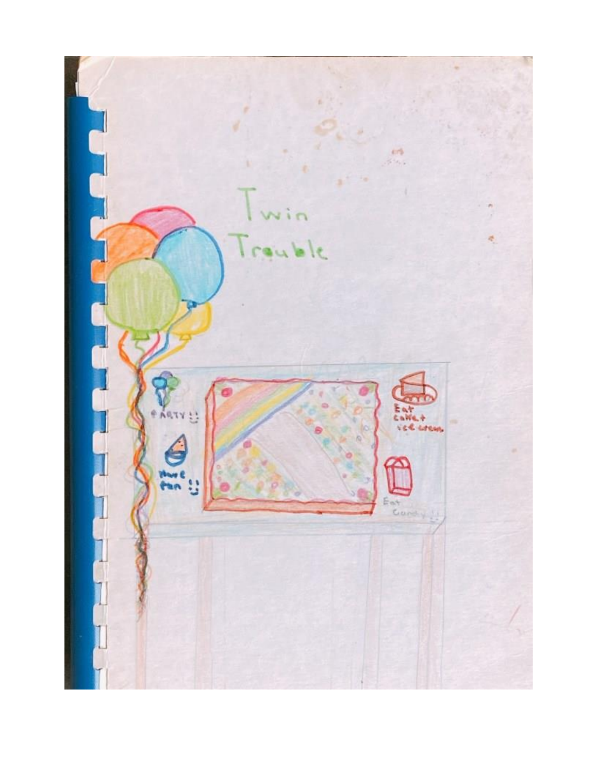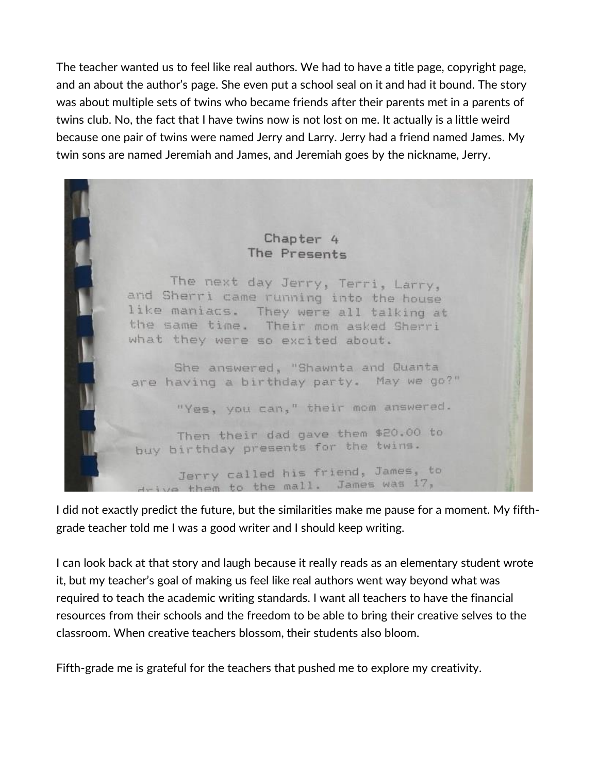The teacher wanted us to feel like real authors. We had to have a title page, copyright page, and an about the author's page. She even put a school seal on it and had it bound. The story was about multiple sets of twins who became friends after their parents met in a parents of twins club. No, the fact that I have twins now is not lost on me. It actually is a little weird because one pair of twins were named Jerry and Larry. Jerry had a friend named James. My twin sons are named Jeremiah and James, and Jeremiah goes by the nickname, Jerry.



I did not exactly predict the future, but the similarities make me pause for a moment. My fifthgrade teacher told me I was a good writer and I should keep writing.

I can look back at that story and laugh because it really reads as an elementary student wrote it, but my teacher's goal of making us feel like real authors went way beyond what was required to teach the academic writing standards. I want all teachers to have the financial resources from their schools and the freedom to be able to bring their creative selves to the classroom. When creative teachers blossom, their students also bloom.

Fifth-grade me is grateful for the teachers that pushed me to explore my creativity.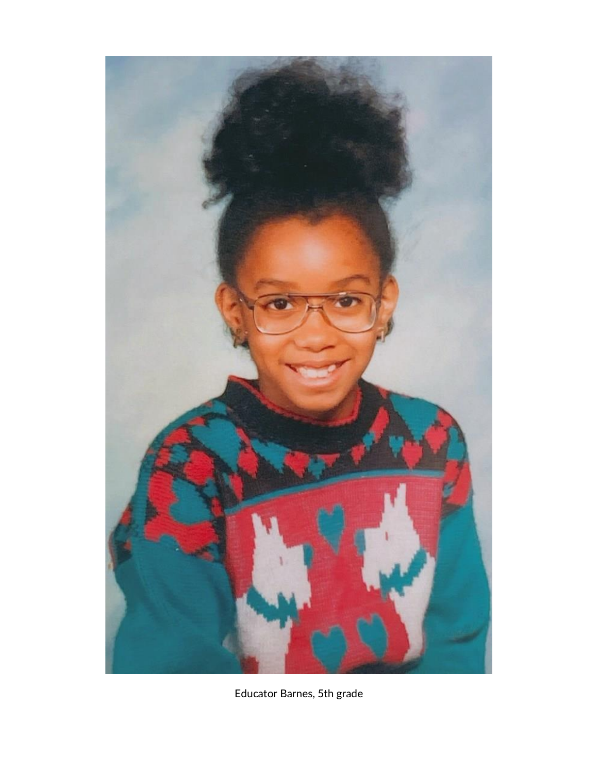

Educator Barnes, 5th grade